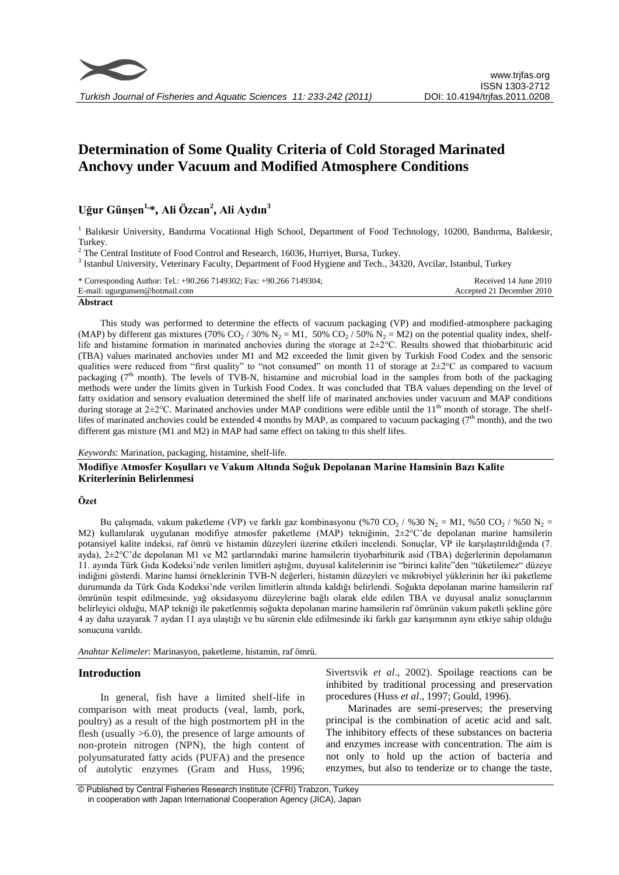

# **Determination of Some Quality Criteria of Cold Storaged Marinated Anchovy under Vacuum and Modified Atmosphere Conditions**

# **Uğur Günşen1,\*, Ali Özcan<sup>2</sup> , Ali Aydın<sup>3</sup>**

<sup>1</sup> Balıkesir University, Bandırma Vocational High School, Department of Food Technology, 10200, Bandırma, Balıkesir, Turkey.

<sup>2</sup> The Central Institute of Food Control and Research, 16036, Hurriyet, Bursa, Turkey.

<sup>3</sup> Istanbul University, Veterinary Faculty, Department of Food Hygiene and Tech., 34320, Avcilar, Istanbul, Turkey

| * Corresponding Author: Tel.: +90.266 7149302; Fax: +90.266 7149304; | Received 14 June 2010     |
|----------------------------------------------------------------------|---------------------------|
| E-mail: ugurgunsen@hotmail.com                                       | Accepted 21 December 2010 |
|                                                                      |                           |

#### **Abstract**

This study was performed to determine the effects of vacuum packaging (VP) and modified-atmosphere packaging (MAP) by different gas mixtures (70%  $CO_2 / 30\%$  N<sub>2</sub> = M1, 50%  $CO_2 / 50\%$  N<sub>2</sub> = M2) on the potential quality index, shelflife and histamine formation in marinated anchovies during the storage at  $2\pm2$ °C. Results showed that thiobarbituric acid (TBA) values marinated anchovies under M1 and M2 exceeded the limit given by Turkish Food Codex and the sensoric qualities were reduced from "first quality" to "not consumed" on month 11 of storage at  $2\pm2^{\circ}C$  as compared to vacuum packaging  $(7<sup>th</sup>$  month). The levels of TVB-N, histamine and microbial load in the samples from both of the packaging methods were under the limits given in Turkish Food Codex. It was concluded that TBA values depending on the level of fatty oxidation and sensory evaluation determined the shelf life of marinated anchovies under vacuum and MAP conditions during storage at  $2\pm2^{\circ}$ C. Marinated anchovies under MAP conditions were edible until the 11<sup>th</sup> month of storage. The shelflifes of marinated anchovies could be extended 4 months by MAP, as compared to vacuum packaging  $(7<sup>th</sup>$  month), and the two different gas mixture (M1 and M2) in MAP had same effect on taking to this shelf lifes.

*Keywords*: Marination, packaging, histamine, shelf-life.

**Modifiye Atmosfer Koşulları ve Vakum Altında Soğuk Depolanan Marine Hamsinin Bazı Kalite Kriterlerinin Belirlenmesi**

#### **Özet**

Bu çalışmada, vakum paketleme (VP) ve farklı gaz kombinasyonu (%70 CO<sub>2</sub> / %30 N<sub>2</sub> = M1, %50 CO<sub>2</sub> / %50 N<sub>2</sub> = M2) kullanılarak uygulanan modifiye atmosfer paketleme (MAP) tekniğinin, 2±2°C'de depolanan marine hamsilerin potansiyel kalite indeksi, raf ömrü ve histamin düzeyleri üzerine etkileri incelendi. Sonuçlar, VP ile karşılaştırıldığında (7. ayda), 2±2°C'de depolanan M1 ve M2 şartlarındaki marine hamsilerin tiyobarbiturik asid (TBA) değerlerinin depolamanın 11. ayında Türk Gıda Kodeksi'nde verilen limitleri aştığını, duyusal kalitelerinin ise "birinci kalite"den "tüketilemez" düzeye indiğini gösterdi. Marine hamsi örneklerinin TVB-N değerleri, histamin düzeyleri ve mikrobiyel yüklerinin her iki paketleme durumunda da Türk Gıda Kodeksi'nde verilen limitlerin altında kaldığı belirlendi. Soğukta depolanan marine hamsilerin raf ömrünün tespit edilmesinde, yağ oksidasyonu düzeylerine bağlı olarak elde edilen TBA ve duyusal analiz sonuçlarının belirleyici olduğu, MAP tekniği ile paketlenmiş soğukta depolanan marine hamsilerin raf ömrünün vakum paketli şekline göre 4 ay daha uzayarak 7 aydan 11 aya ulaştığı ve bu sürenin elde edilmesinde iki farklı gaz karışımının aynı etkiye sahip olduğu sonucuna varıldı.

*Anahtar Kelimeler*: Marinasyon, paketleme, histamin, raf ömrü.

## **Introduction**

In general, fish have a limited shelf-life in comparison with meat products (veal, lamb, pork, poultry) as a result of the high postmortem pH in the flesh (usually >6.0), the presence of large amounts of non-protein nitrogen (NPN), the high content of polyunsaturated fatty acids (PUFA) and the presence of autolytic enzymes (Gram and Huss, 1996;

Sivertsvik *et al*., 2002). Spoilage reactions can be inhibited by traditional processing and preservation procedures (Huss *et al*., 1997; Gould, 1996).

Marinades are semi-preserves; the preserving principal is the combination of acetic acid and salt. The inhibitory effects of these substances on bacteria and enzymes increase with concentration. The aim is not only to hold up the action of bacteria and enzymes, but also to tenderize or to change the taste,

<sup>©</sup> Published by Central Fisheries Research Institute (CFRI) Trabzon, Turkey in cooperation with Japan International Cooperation Agency (JICA), Japan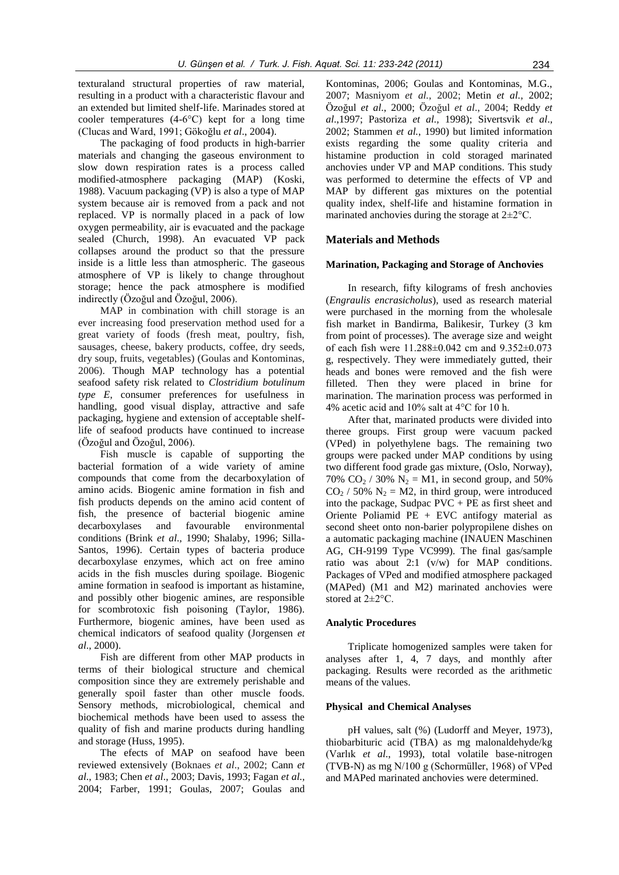texturaland structural properties of raw material, resulting in a product with a characteristic flavour and an extended but limited shelf-life. Marinades stored at cooler temperatures (4-6°C) kept for a long time (Clucas and Ward, 1991; Gökoğlu *et al*., 2004).

The packaging of food products in high-barrier materials and changing the gaseous environment to slow down respiration rates is a process called modified-atmosphere packaging (MAP) (Koski, 1988). Vacuum packaging (VP) is also a type of MAP system because air is removed from a pack and not replaced. VP is normally placed in a pack of low oxygen permeability, air is evacuated and the package sealed (Church, 1998). An evacuated VP pack collapses around the product so that the pressure inside is a little less than atmospheric. The gaseous atmosphere of VP is likely to change throughout storage; hence the pack atmosphere is modified indirectly (Özoğul and Özoğul, 2006).

MAP in combination with chill storage is an ever increasing food preservation method used for a great variety of foods (fresh meat, poultry, fish, sausages, cheese, bakery products, coffee, dry seeds, dry soup, fruits, vegetables) (Goulas and Kontominas, 2006). Though MAP technology has a potential seafood safety risk related to *Clostridium botulinum type E*, consumer preferences for usefulness in handling, good visual display, attractive and safe packaging, hygiene and extension of acceptable shelflife of seafood products have continued to increase (Özoğul and Özoğul, 2006).

Fish muscle is capable of supporting the bacterial formation of a wide variety of amine compounds that come from the decarboxylation of amino acids. Biogenic amine formation in fish and fish products depends on the amino acid content of fish, the presence of bacterial biogenic amine decarboxylases and favourable environmental conditions (Brink *et al*., 1990; Shalaby, 1996; Silla-Santos, 1996). Certain types of bacteria produce decarboxylase enzymes, which act on free amino acids in the fish muscles during spoilage. Biogenic amine formation in seafood is important as histamine, and possibly other biogenic amines, are responsible for scombrotoxic fish poisoning (Taylor, 1986). Furthermore, biogenic amines, have been used as chemical indicators of seafood quality (Jorgensen *et al*., 2000).

Fish are different from other MAP products in terms of their biological structure and chemical composition since they are extremely perishable and generally spoil faster than other muscle foods. Sensory methods, microbiological, chemical and biochemical methods have been used to assess the quality of fish and marine products during handling and storage (Huss, 1995).

The efects of MAP on seafood have been reviewed extensively (Boknaes *et al*., 2002; Cann *et al*., 1983; Chen *et al*., 2003; Davis, 1993; Fagan *et al.,* 2004; Farber, 1991; Goulas, 2007; Goulas and

Kontominas, 2006; Goulas and Kontominas, M.G., 2007; Masniyom *et al.,* 2002; Metin *et al.,* 2002; Özoğul *et al*., 2000; Özoğul *et al*., 2004; Reddy *et al*.,1997; Pastoriza *et al.,* 1998); Sivertsvik *et al*., 2002; Stammen *et al.*, 1990) but limited information exists regarding the some quality criteria and histamine production in cold storaged marinated anchovies under VP and MAP conditions. This study was performed to determine the effects of VP and MAP by different gas mixtures on the potential quality index, shelf-life and histamine formation in marinated anchovies during the storage at 2±2°C.

# **Materials and Methods**

#### **Marination, Packaging and Storage of Anchovies**

In research, fifty kilograms of fresh anchovies (*Engraulis encrasicholus*), used as research material were purchased in the morning from the wholesale fish market in Bandirma, Balikesir, Turkey (3 km from point of processes). The average size and weight of each fish were 11.288±0.042 cm and 9.352±0.073 g, respectively. They were immediately gutted, their heads and bones were removed and the fish were filleted. Then they were placed in brine for marination. The marination process was performed in 4% acetic acid and 10% salt at 4°C for 10 h.

After that, marinated products were divided into theree groups. First group were vacuum packed (VPed) in polyethylene bags. The remaining two groups were packed under MAP conditions by using two different food grade gas mixture, (Oslo, Norway), 70%  $CO_2 / 30\% N_2 = M1$ , in second group, and 50%  $CO<sub>2</sub>$  / 50% N<sub>2</sub> = M2, in third group, were introduced into the package, Sudpac  $PVC + PE$  as first sheet and Oriente Poliamid PE + EVC antifogy material as second sheet onto non-barier polypropilene dishes on a automatic packaging machine (INAUEN Maschinen AG, CH-9199 Type VC999). The final gas/sample ratio was about 2:1 (v/w) for MAP conditions. Packages of VPed and modified atmosphere packaged (MAPed) (M1 and M2) marinated anchovies were stored at 2±2°C.

#### **Analytic Procedures**

Triplicate homogenized samples were taken for analyses after 1, 4, 7 days, and monthly after packaging. Results were recorded as the arithmetic means of the values.

#### **Physical and Chemical Analyses**

pH values, salt (%) (Ludorff and Meyer, 1973), thiobarbituric acid (TBA) as mg malonaldehyde/kg (Varlık *et al*., 1993), total volatile base-nitrogen (TVB-N) as mg N/100 g (Schormüller, 1968) of VPed and MAPed marinated anchovies were determined.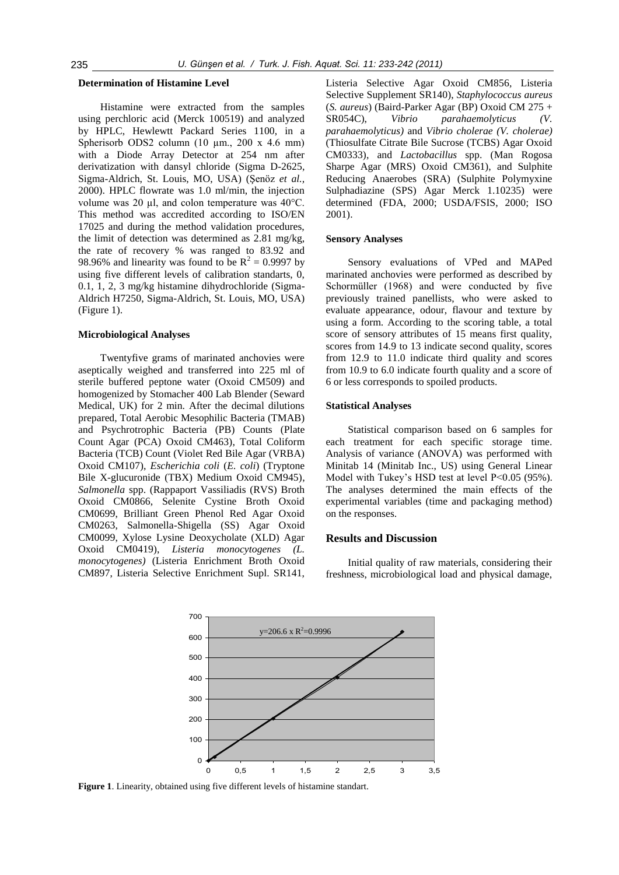#### **Determination of Histamine Level**

Histamine were extracted from the samples using perchloric acid (Merck 100519) and analyzed by HPLC, Hewlewtt Packard Series 1100, in a Spherisorb ODS2 column  $(10 \text{ µm}., 200 \text{ x } 4.6 \text{ mm})$ with a Diode Array Detector at 254 nm after derivatization with dansyl chloride (Sigma D-2625, Sigma-Aldrich, St. Louis, MO, USA) (Şenöz *et al.,* 2000). HPLC flowrate was 1.0 ml/min, the injection volume was 20  $\mu$ l, and colon temperature was 40°C. This method was accredited according to ISO/EN 17025 and during the method validation procedures, the limit of detection was determined as 2.81 mg/kg, the rate of recovery % was ranged to 83.92 and 98.96% and linearity was found to be  $R^2 = 0.9997$  by using five different levels of calibration standarts, 0, 0.1, 1, 2, 3 mg/kg histamine dihydrochloride (Sigma-Aldrich H7250, Sigma-Aldrich, St. Louis, MO, USA) (Figure 1).

#### **Microbiological Analyses**

Twentyfive grams of marinated anchovies were aseptically weighed and transferred into 225 ml of sterile buffered peptone water (Oxoid CM509) and homogenized by Stomacher 400 Lab Blender (Seward Medical, UK) for 2 min. After the decimal dilutions prepared, Total Aerobic Mesophilic Bacteria (TMAB) and Psychrotrophic Bacteria (PB) Counts (Plate Count Agar (PCA) Oxoid CM463), Total Coliform Bacteria (TCB) Count (Violet Red Bile Agar (VRBA) Oxoid CM107), *Escherichia coli* (*E. coli*) (Tryptone Bile X-glucuronide (TBX) Medium Oxoid CM945), *Salmonella* spp. (Rappaport Vassiliadis (RVS) Broth Oxoid CM0866, Selenite Cystine Broth Oxoid CM0699, Brilliant Green Phenol Red Agar Oxoid CM0263, Salmonella-Shigella (SS) Agar Oxoid CM0099, Xylose Lysine Deoxycholate (XLD) Agar Oxoid CM0419), *Listeria monocytogenes (L. monocytogenes)* (Listeria Enrichment Broth Oxoid CM897, Listeria Selective Enrichment Supl. SR141, Listeria Selective Agar Oxoid CM856, Listeria Selective Supplement SR140), *Staphylococcus aureus*  (*S. aureus*) (Baird-Parker Agar (BP) Oxoid CM 275 + SR054C), *Vibrio parahaemolyticus (V. parahaemolyticus)* and *Vibrio cholerae (V. cholerae)*  (Thiosulfate Citrate Bile Sucrose (TCBS) Agar Oxoid CM0333), and *Lactobacillus* spp. (Man Rogosa Sharpe Agar (MRS) Oxoid CM361), and Sulphite Reducing Anaerobes (SRA) (Sulphite Polymyxine Sulphadiazine (SPS) Agar Merck 1.10235) were determined (FDA, 2000; USDA/FSIS, 2000; ISO 2001).

#### **Sensory Analyses**

Sensory evaluations of VPed and MAPed marinated anchovies were performed as described by Schormüller (1968) and were conducted by five previously trained panellists, who were asked to evaluate appearance, odour, flavour and texture by using a form. According to the scoring table, a total score of sensory attributes of 15 means first quality, scores from 14.9 to 13 indicate second quality, scores from 12.9 to 11.0 indicate third quality and scores from 10.9 to 6.0 indicate fourth quality and a score of 6 or less corresponds to spoiled products.

# **Statistical Analyses**

Statistical comparison based on 6 samples for each treatment for each specific storage time. Analysis of variance (ANOVA) was performed with Minitab 14 (Minitab Inc., US) using General Linear Model with Tukey's HSD test at level P<0.05 (95%). The analyses determined the main effects of the experimental variables (time and packaging method) on the responses.

# **Results and Discussion**

Initial quality of raw materials, considering their freshness, microbiological load and physical damage,



**Figure 1**. Linearity, obtained using five different levels of histamine standart.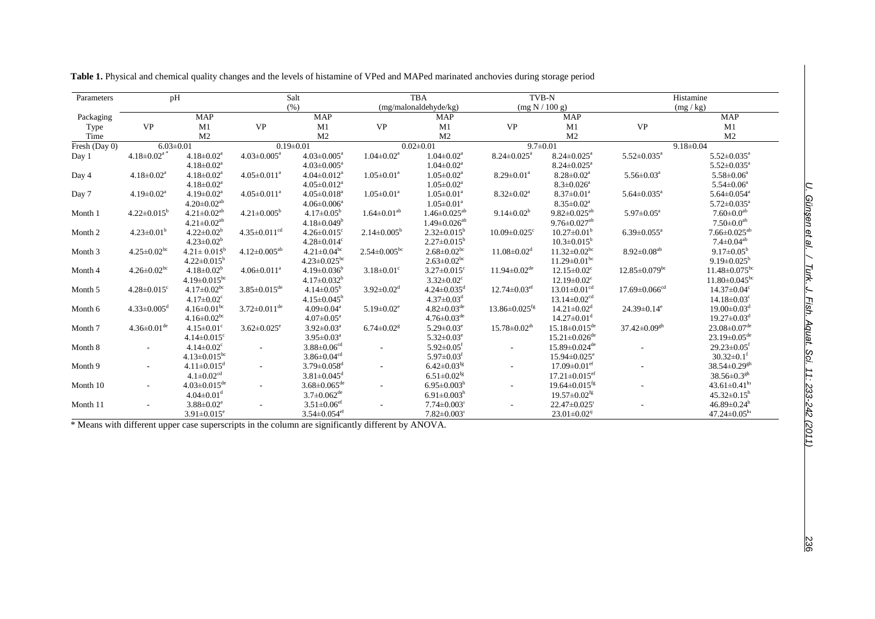| Parameters    | pH                                                                                 |                                |                                | Salt                           |                              | <b>TBA</b>                     | TVB-N                           |                                 | Histamine                       |                                 |  |  |
|---------------|------------------------------------------------------------------------------------|--------------------------------|--------------------------------|--------------------------------|------------------------------|--------------------------------|---------------------------------|---------------------------------|---------------------------------|---------------------------------|--|--|
|               |                                                                                    |                                |                                | (% )                           |                              | (mg/malonaldehyde/kg)          | (mg N / 100 g)                  |                                 | (mg/kg)                         |                                 |  |  |
| Packaging     |                                                                                    | <b>MAP</b>                     |                                | <b>MAP</b>                     |                              | <b>MAP</b>                     |                                 | <b>MAP</b>                      |                                 | <b>MAP</b>                      |  |  |
| Type          | <b>VP</b>                                                                          | M1                             | <b>VP</b>                      | M1                             | <b>VP</b>                    | M1                             | <b>VP</b>                       | M1                              | <b>VP</b>                       | M1                              |  |  |
| Time          |                                                                                    | M <sub>2</sub>                 |                                | M <sub>2</sub>                 |                              | M <sub>2</sub>                 |                                 | M <sub>2</sub>                  |                                 | M <sub>2</sub>                  |  |  |
| Fresh (Day 0) | $6.03 \pm 0.01$                                                                    |                                |                                | $0.19 \pm 0.01$                | $0.02 \pm 0.01$              |                                | $9.7 \pm 0.01$                  |                                 |                                 | $9.18 \pm 0.04$                 |  |  |
| Day 1         | $4.18 \pm 0.02$ <sup>a</sup><br>$4.18 \pm 0.02$ <sup>a</sup><br>$4.03 \pm 0.005^a$ |                                |                                | $4.03 \pm 0.005^{\text{a}}$    | $1.04 \pm 0.02^a$            | $1.04 \pm 0.02^a$              | $8.24 \pm 0.025$ <sup>a</sup>   | $8.24 \pm 0.025$ <sup>a</sup>   | $5.52 \pm 0.035$ <sup>a</sup>   | $5.52 \pm 0.035^a$              |  |  |
|               |                                                                                    | $4.18 \pm 0.02^a$              |                                | $4.03 \pm 0.005^a$             |                              | $1.04 \pm 0.02^a$              |                                 | $8.24 \pm 0.025$ <sup>a</sup>   |                                 | $5.52 \pm 0.035$ <sup>a</sup>   |  |  |
| Day 4         | $4.18 \pm 0.02^a$                                                                  | $4.18 \pm 0.02$ <sup>a</sup>   | $4.05 \pm 0.011$ <sup>a</sup>  | $4.04 \pm 0.012$ <sup>a</sup>  | $1.05 \pm 0.01^a$            | $1.05 \pm 0.02^a$              | $8.29 \pm 0.01^a$               | $8.28 \pm 0.02^a$               | $5.56 \pm 0.03$ <sup>a</sup>    | $5.58 \pm 0.06^a$               |  |  |
|               |                                                                                    | $4.18 \pm 0.02^a$              |                                | $4.05 \pm 0.012$ <sup>a</sup>  |                              | $1.05 \pm 0.02^a$              |                                 | $8.3 \pm 0.026$ <sup>a</sup>    |                                 | $5.54 \pm 0.06^a$               |  |  |
| Day 7         | $4.19 \pm 0.02^a$                                                                  | $4.19 \pm 0.02^a$              | $4.05 \pm 0.011$ <sup>a</sup>  | $4.05 \pm 0.018$ <sup>a</sup>  | $1.05 \pm 0.01^a$            | $1.05 \pm 0.01$ <sup>a</sup>   | $8.32 \pm 0.02^a$               | $8.37 \pm 0.01^a$               | $5.64 \pm 0.035$ <sup>a</sup>   | $5.64 \pm 0.054$ <sup>a</sup>   |  |  |
|               |                                                                                    | $4.20\pm0.02^{\text{ab}}$      |                                | $4.06 \pm 0.006^a$             |                              | $1.05 \pm 0.01^a$              |                                 | $8.35 \pm 0.02^a$               |                                 | $5.72 \pm 0.035$ <sup>a</sup>   |  |  |
| Month 1       | $4.22 \pm 0.015^b$                                                                 | $4.21 \pm 0.02$ <sup>ab</sup>  | $4.21 \pm 0.005^b$             | $4.17 \pm 0.05^b$              | $1.64 \pm 0.01^{ab}$         | $1.46 \pm 0.025$ <sup>ab</sup> | $9.14 \pm 0.02^b$               | $9.82 \pm 0.025^{ab}$           | $5.97 \pm 0.05^a$               | $7.60 \pm 0.0$ <sup>ab</sup>    |  |  |
|               |                                                                                    | $4.21 \pm 0.02^{ab}$           |                                | $4.18 \pm 0.049^b$             |                              | $1.49 \pm 0.026^{ab}$          |                                 | $9.76 \pm 0.027$ <sup>ab</sup>  |                                 | $7.50\pm0.0^{\rm ab}$           |  |  |
| Month 2       | $4.23 \pm 0.01^b$                                                                  | $4.22 \pm 0.02^b$              | $4.35 \pm 0.011$ <sup>cd</sup> | $4.26 \pm 0.015$ <sup>c</sup>  | $2.14 \pm 0.005^b$           | $2.32 \pm 0.015^b$             | $10.09 \pm 0.025$ <sup>c</sup>  | $10.27 \pm 0.01^{\rm b}$        | $6.39 \pm 0.055$ <sup>a</sup>   | $7.66 \pm 0.025$ <sup>ab</sup>  |  |  |
|               |                                                                                    | $4.23 \pm 0.02^b$              |                                | $4.28 \pm 0.014$ <sup>c</sup>  |                              | $2.27 \pm 0.015^b$             |                                 | $10.3 \pm 0.015^{\rm b}$        |                                 | $7.4 \pm 0.04^{ab}$             |  |  |
| Month 3       | $4.25 \pm 0.02$ <sup>bc</sup>                                                      | $4.21 \pm 0.015^b$             | $4.12 \pm 0.005^{ab}$          | $4.21 \pm 0.04^{\rm bc}$       | $2.54 \pm 0.005^{bc}$        | $2.68 \pm 0.02$ <sup>bc</sup>  | $11.08 \pm 0.02$ <sup>d</sup>   | $11.32 \pm 0.02$ <sup>bc</sup>  | $8.92 \pm 0.08^{ab}$            | $9.17 \pm 0.05^{\rm b}$         |  |  |
|               |                                                                                    | $4.22 \pm 0.015^b$             |                                | $4.23 \pm 0.025$ <sup>bc</sup> |                              | $2.63 \pm 0.02$ <sup>bc</sup>  |                                 | $11.29 \pm 0.01$ <sup>bc</sup>  |                                 | $9.19 \pm 0.025^b$              |  |  |
| Month 4       | $4.26 \pm 0.02$ <sup>bc</sup>                                                      | $4.18 \pm 0.02^b$              | $4.06 \pm 0.011^a$             | $4.19 \pm 0.036^b$             | $3.18 \pm 0.01$ <sup>c</sup> | $3.27 \pm 0.015$ <sup>c</sup>  | $11.94 \pm 0.02$ <sup>de</sup>  | $12.15 \pm 0.02$ <sup>c</sup>   | $12.85 \pm 0.079$ <sup>bc</sup> | $11.48 \pm 0.075$ <sup>bc</sup> |  |  |
|               |                                                                                    | $4.19 \pm 0.015$ <sup>bc</sup> |                                | $4.17 \pm 0.032^b$             |                              | $3.32 \pm 0.02$ <sup>c</sup>   |                                 | $12.19 \pm 0.02$ <sup>c</sup>   |                                 | $11.80 \pm 0.045$ <sup>bc</sup> |  |  |
| Month 5       | $4.28 \pm 0.015$ <sup>c</sup>                                                      | $4.17 \pm 0.02$ <sup>bc</sup>  | $3.85 \pm 0.015$ <sup>de</sup> | $4.14 \pm 0.05^{\rm b}$        | $3.92 \pm 0.02$ <sup>d</sup> | $4.24 \pm 0.035$ <sup>d</sup>  | $12.74 \pm 0.03$ <sup>ef</sup>  | $13.01 \pm 0.01$ <sup>cd</sup>  | $17.69 \pm 0.066$ <sup>cd</sup> | $14.37 \pm 0.04$ <sup>c</sup>   |  |  |
|               |                                                                                    | $4.17 \pm 0.02$ <sup>c</sup>   |                                | $4.15 \pm 0.045^b$             |                              | $4.37 \pm 0.03$ <sup>d</sup>   |                                 | $13.14 \pm 0.02$ <sup>cd</sup>  |                                 | $14.18 \pm 0.03$ <sup>c</sup>   |  |  |
| Month 6       | $4.33 \pm 0.005$ <sup>d</sup>                                                      | $4.16 \pm 0.01^{\rm bc}$       | $3.72 \pm 0.011$ <sup>de</sup> | $4.09 \pm 0.04$ <sup>a</sup>   | $5.19 \pm 0.02$ <sup>e</sup> | $4.82 \pm 0.03^{\text{de}}$    | $13.86 \pm 0.025$ <sup>fg</sup> | $14.21 \pm 0.02$ <sup>d</sup>   | $24.39 \pm 0.14$ <sup>e</sup>   | $19.00 \pm 0.03$ <sup>d</sup>   |  |  |
|               |                                                                                    | $4.16 \pm 0.02$ <sup>bc</sup>  |                                | $4.07 \pm 0.05^{\circ}$        |                              | $4.76 \pm 0.03$ <sup>de</sup>  |                                 | $14.27 \pm 0.01$ <sup>d</sup>   |                                 | $19.27 \pm 0.03$ <sup>d</sup>   |  |  |
| Month 7       | $4.36 \pm 0.01$ <sup>de</sup>                                                      | $4.15 \pm 0.01$ <sup>c</sup>   | $3.62 \pm 0.025$ <sup>e</sup>  | $3.92 \pm 0.03^a$              | $6.74 \pm 0.02$ <sup>g</sup> | $5.29 \pm 0.03^e$              | $15.78 \pm 0.02$ <sup>th</sup>  | $15.18 \pm 0.015$ <sup>de</sup> | $37.42 \pm 0.09$ <sup>gh</sup>  | $23.08 \pm 0.07$ <sup>de</sup>  |  |  |
|               |                                                                                    | $4.14 \pm 0.015$ <sup>c</sup>  |                                | $3.95 \pm 0.03^a$              |                              | $5.32 \pm 0.03^e$              |                                 | $15.21 \pm 0.026$ <sup>de</sup> |                                 | $23.19 \pm 0.05$ <sup>de</sup>  |  |  |
| Month 8       |                                                                                    | $4.14 \pm 0.02$ <sup>c</sup>   |                                | $3.88 \pm 0.06$ <sup>cd</sup>  |                              | $5.92 \pm 0.05$ <sup>f</sup>   |                                 | $15.89 \pm 0.024$ <sup>de</sup> |                                 | $29.23 \pm 0.05$ <sup>t</sup>   |  |  |
|               |                                                                                    | $4.13 \pm 0.015$ <sup>bc</sup> |                                | $3.86 \pm 0.04$ <sup>cd</sup>  |                              | $5.97 \pm 0.03$ <sup>f</sup>   |                                 | $15.94 \pm 0.025$ <sup>e</sup>  |                                 | $30.32 \pm 0.1$ <sup>f</sup>    |  |  |
| Month 9       |                                                                                    | $4.11 \pm 0.015$ <sup>d</sup>  |                                | $3.79 \pm 0.058$ <sup>d</sup>  |                              | $6.42{\pm}0.03^{\mathrm{fg}}$  |                                 | $17.09 \pm 0.01$ <sup>ef</sup>  |                                 | 38.54 $\pm$ 0.29 <sup>gh</sup>  |  |  |
|               |                                                                                    | $4.1 \pm 0.02$ <sup>cd</sup>   |                                | $3.81 \pm 0.045$ <sup>d</sup>  |                              | $6.51 \pm 0.02$ <sup>fg</sup>  |                                 | $17.21 \pm 0.015$ <sup>ef</sup> |                                 | $38.56 \pm 0.3$ <sup>gh</sup>   |  |  |
| Month 10      |                                                                                    | $4.03 \pm 0.015$ <sup>de</sup> |                                | $3.68 \pm 0.065$ <sup>de</sup> |                              | $6.95 \pm 0.003^{\rm h}$       |                                 | $19.64 \pm 0.015$ <sup>fg</sup> |                                 | $43.61 \pm 0.41$ <sup>h1</sup>  |  |  |
|               |                                                                                    | $4.04 \pm 0.01$ <sup>d</sup>   |                                | $3.7 \pm 0.062$ <sup>de</sup>  |                              | $6.91 \pm 0.003$ <sup>h</sup>  |                                 | $19.57 \pm 0.02$ <sup>fg</sup>  |                                 | $45.32 \pm 0.15^h$              |  |  |
| Month 11      |                                                                                    | $3.88 \pm 0.02$ <sup>e</sup>   |                                | $3.51 \pm 0.06$ <sup>ef</sup>  |                              | $7.74 \pm 0.003$               |                                 | $22.47 \pm 0.025$ <sup>1</sup>  |                                 | $46.89 \pm 0.24$ <sup>h</sup>   |  |  |
|               |                                                                                    | $3.91 \pm 0.015$ <sup>e</sup>  |                                | $3.54 \pm 0.054$ <sup>ef</sup> |                              | $7.82 \pm 0.003$               |                                 | $23.01 \pm 0.02$ <sup>ij</sup>  |                                 | $47.24 \pm 0.05^{\text{hi}}$    |  |  |

**Table 1.** Physical and chemical quality changes and the levels of histamine of VPed and MAPed marinated anchovies during storage period

\* Means with different upper case superscripts in the column are significantly different by ANOVA.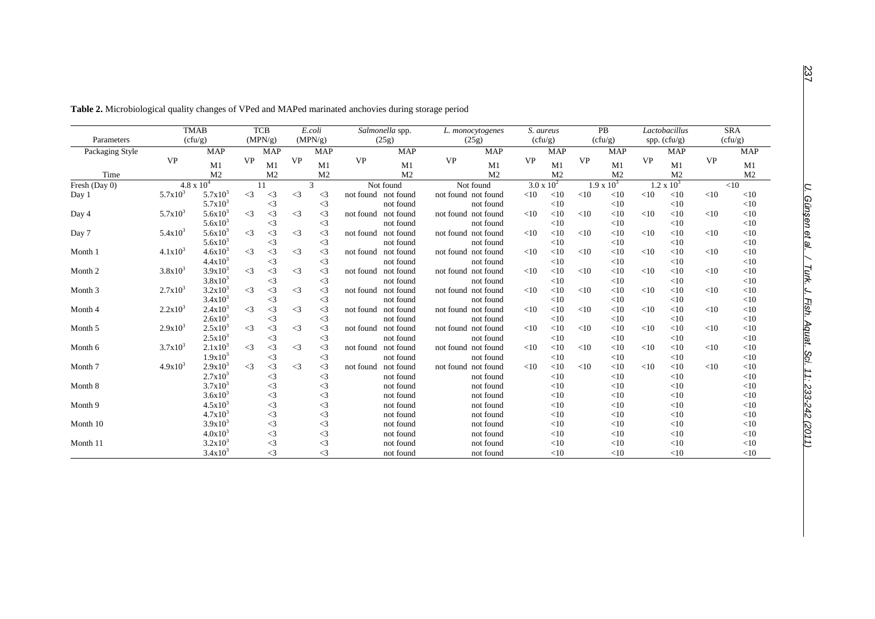|                 |                           | <b>TMAB</b>    |           | <b>TCB</b>      |           | E.coli         | Salmonella spp.     |                | S. aureus<br>L. monocytogenes |           |                     | <b>PB</b> |                   | Lactobacillus  |                | <b>SRA</b> |                |
|-----------------|---------------------------|----------------|-----------|-----------------|-----------|----------------|---------------------|----------------|-------------------------------|-----------|---------------------|-----------|-------------------|----------------|----------------|------------|----------------|
| Parameters      |                           | (cfu/g)        |           | (MPN/g)         |           | (MPN/g)        |                     | (25g)          | (25g)                         | (cfu/g)   |                     | (cfu/g)   |                   | spp. $(cfu/g)$ |                | (cfu/g)    |                |
| Packaging Style |                           | <b>MAP</b>     |           | <b>MAP</b>      |           | <b>MAP</b>     |                     | <b>MAP</b>     | <b>MAP</b>                    |           | <b>MAP</b>          |           | <b>MAP</b>        |                | <b>MAP</b>     |            | <b>MAP</b>     |
|                 | <b>VP</b>                 | M1             | <b>VP</b> | M1              | <b>VP</b> | M1             | <b>VP</b>           | M1             | <b>VP</b><br>M1               | <b>VP</b> | M1                  | <b>VP</b> | M1                | <b>VP</b>      | M1             | <b>VP</b>  | M1             |
| Time            |                           | M <sub>2</sub> |           | M <sub>2</sub>  |           | M <sub>2</sub> |                     | M <sub>2</sub> | M <sub>2</sub>                |           | M <sub>2</sub>      |           | M <sub>2</sub>    |                | M <sub>2</sub> |            | M <sub>2</sub> |
| Fresh (Day 0)   | $4.8 \times 10^{4}$<br>11 |                |           | 3               |           | Not found      |                     | Not found      | $3.0 \times 10^{2}$           |           | $1.9 \times 10^{3}$ |           | $1.2 \times 10^3$ |                |                | <10        |                |
| Day 1           | $5.7x10^3$                | $5.7x10^3$     | $\leq$ 3  | $\leq$ 3        | $\leq$ 3  | $\leq$ 3       | not found not found |                | not found not found           | $<$ 10    | <10                 | <10       | $<$ 10            | <10            | $<$ 10         | <10        | $<$ 10         |
|                 |                           | $5.7x10^3$     |           | $\leq$ 3        |           | $\leq$ 3       |                     | not found      | not found                     |           | <10                 |           | $<$ 10            |                | <10            |            | $<$ 10         |
| Day 4           | $5.7x10^3$                | $5.6x10^3$     | $\leq$ 3  | $\leq$ 3        | $\leq$ 3  | $\leq$ 3       | not found not found |                | not found not found           | <10       | <10                 | $<$ 10    | <10               | <10            | <10            | <10        | $<$ 10         |
|                 |                           | $5.6x10^{3}$   |           | $\leq$ 3        |           | $\leq$ 3       |                     | not found      | not found                     |           | <10                 |           | <10               |                | <10            |            | $<$ 10         |
| Day 7           | $5.4x10^3$                | $5.6x10^{3}$   | $\leq$ 3  | $\leq$ 3        | $\leq$ 3  | $\leq$ 3       | not found not found |                | not found not found           | <10       | <10                 | <10       | $<$ 10            | <10            | $<$ 10         | <10        | <10            |
|                 |                           | $5.6x10^{3}$   |           | $\leq$ 3        |           | $\leq$ 3       |                     | not found      | not found                     |           | <10                 |           | $<$ 10            |                | <10            |            | <10            |
| Month 1         | $4.1x10^{3}$              | $4.6x10^{3}$   | $\leq$ 3  | $\leq$ 3        | $\leq$ 3  | $\leq$ 3       | not found not found |                | not found not found           | $<$ 10    | <10                 | $<$ 10    | $<$ 10            | $<$ 10         | $<$ 10         | <10        | $<$ 10         |
|                 |                           | $4.4x10^3$     |           | $\triangleleft$ |           | $\leq$ 3       |                     | not found      | not found                     |           | <10                 |           | $<$ 10            |                | <10            |            | $<$ 10         |
| Month 2         | $3.8x10^{3}$              | $3.9x10^{3}$   | $\leq$ 3  | $\leq$ 3        | $\leq$ 3  | $\leq$ 3       | not found           | not found      | not found not found           | <10       | <10                 | $<$ 10    | <10               | <10            | <10            | $<$ 10     | $<$ 10         |
|                 |                           | $3.8x10^3$     |           | $\leq$ 3        |           | $\leq$ 3       |                     | not found      | not found                     |           | <10                 |           | <10               |                | $<$ 10         |            | $<$ 10         |
| Month 3         | $2.7x10^{3}$              | $3.2x10^3$     | $\leq$ 3  | $\leq$ 3        | $\leq$ 3  | $\leq$ 3       | not found not found |                | not found not found           | $<$ 10    | <10                 | <10       | <10               | $<$ 10         | $<$ 10         | <10        | $<$ 10         |
|                 |                           | $3.4x10^3$     |           | $\leq$ 3        |           | $\leq$ 3       |                     | not found      | not found                     |           | <10                 |           | <10               |                | <10            |            | $<$ 10         |
| Month 4         | $2.2x10^3$                | $2.4x10^3$     | $\leq$ 3  | $\leq$ 3        | $\leq$ 3  | $\leq$ 3       | not found not found |                | not found not found           | $<$ 10    | <10                 | $<$ 10    | <10               | <10            | <10            | <10        | $<$ 10         |
|                 |                           | $2.6x10^{3}$   |           | $\triangleleft$ |           | $\leq$ 3       |                     | not found      | not found                     |           | <10                 |           | $<$ 10            |                | <10            |            | <10            |
| Month 5         | $2.9x10^{3}$              | $2.5x10^3$     | $\leq$ 3  | $\leq$ 3        | $\leq$ 3  | $\leq$ 3       | not found           | not found      | not found not found           | <10       | <10                 | <10       | $<$ 10            | <10            | $<$ 10         | <10        | $<$ 10         |
|                 |                           | $2.5x10^3$     |           | $\leq$ 3        |           | $\leq$ 3       |                     | not found      | not found                     |           | <10                 |           | <10               |                | <10            |            | <10            |
| Month 6         | $3.7x10^3$                | $2.1x10^3$     | $\leq$ 3  | $\leq$ 3        | $\leq$ 3  | $\leq$ 3       | not found           | not found      | not found not found           | <10       | <10                 | <10       | $<$ 10            | <10            | $<$ 10         | <10        | <10            |
|                 |                           | $1.9x10^{3}$   |           | $\triangleleft$ |           | $\leq$ 3       |                     | not found      | not found                     |           | <10                 |           | $<$ 10            |                | $<$ 10         |            | $<$ 10         |
| Month 7         | $4.9x10^{3}$              | $2.9x10^3$     | $\leq$ 3  | $\leq$ 3        | $\leq$ 3  | $\leq$ 3       | not found           | not found      | not found not found           | <10       | <10                 | <10       | $<$ 10            | <10            | $<$ 10         | <10        | $<$ 10         |
|                 |                           | $2.7x10^3$     |           | $\leq$ 3        |           | $\leq$ 3       |                     | not found      | not found                     |           | <10                 |           | $<$ 10            |                | <10            |            | $<$ 10         |
| Month 8         |                           | $3.7x10^3$     |           | $\leq$ 3        |           | $\leq$ 3       |                     | not found      | not found                     |           | <10                 |           | <10               |                | $<$ 10         |            | $<$ 10         |
|                 |                           | $3.6x10^{3}$   |           | $\leq$ 3        |           | $\leq$ 3       |                     | not found      | not found                     |           | <10                 |           | $<$ 10            |                | <10            |            | $<$ 10         |
| Month 9         |                           | $4.5x10^{3}$   |           | $\leq$ 3        |           | $\leq$ 3       |                     | not found      | not found                     |           | <10                 |           | $<$ 10            |                | $<$ 10         |            | $<$ 10         |
|                 |                           | $4.7x10^{3}$   |           | $\leq$ 3        |           | $\leq$ 3       |                     | not found      | not found                     |           | <10                 |           | $<$ 10            |                | $<$ 10         |            | $<$ 10         |
| Month 10        |                           | $3.9x10^{3}$   |           | $\leq$ 3        |           | $\leq$ 3       |                     | not found      | not found                     |           | <10                 |           | <10               |                | <10            |            | <10            |
|                 |                           | $4.0x10^{3}$   |           | $\leq$ 3        |           | $\leq$ 3       |                     | not found      | not found                     |           | <10                 |           | <10               |                | $<$ 10         |            | $<$ 10         |
| Month 11        |                           | $3.2x10^3$     |           | $\triangleleft$ |           | $\leq$ 3       |                     | not found      | not found                     |           | <10                 |           | $<$ 10            |                | <10            |            | $<$ 10         |
|                 |                           | $3.4x10^3$     |           | $\leq$ 3        |           | $\leq$ 3       |                     | not found      | not found                     |           | <10                 |           | $<$ 10            |                | <10            |            | $<$ 10         |

**Table 2.** Microbiological quality changes of VPed and MAPed marinated anchovies during storage period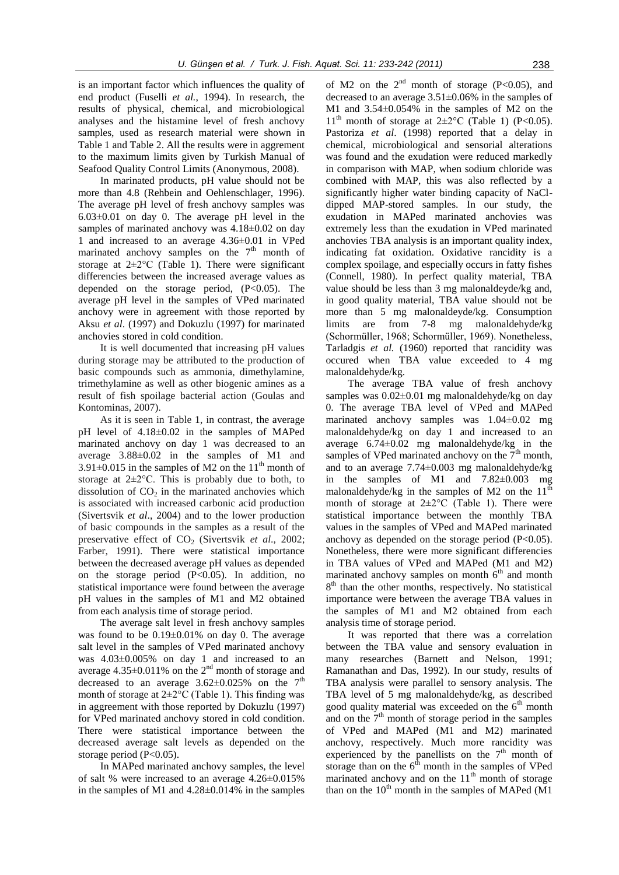is an important factor which influences the quality of end product (Fuselli *et al.*, 1994). In research, the results of physical, chemical, and microbiological analyses and the histamine level of fresh anchovy samples, used as research material were shown in Table 1 and Table 2. All the results were in aggrement to the maximum limits given by Turkish Manual of Seafood Quality Control Limits (Anonymous, 2008).

In marinated products, pH value should not be more than 4.8 (Rehbein and Oehlenschlager, 1996). The average pH level of fresh anchovy samples was 6.03±0.01 on day 0. The average pH level in the samples of marinated anchovy was  $4.18\pm0.02$  on day 1 and increased to an average 4.36±0.01 in VPed marinated anchovy samples on the  $7<sup>th</sup>$  month of storage at  $2\pm2^{\circ}$ C (Table 1). There were significant differencies between the increased average values as depended on the storage period,  $(P<0.05)$ . The average pH level in the samples of VPed marinated anchovy were in agreement with those reported by Aksu *et al*. (1997) and Dokuzlu (1997) for marinated anchovies stored in cold condition.

It is well documented that increasing pH values during storage may be attributed to the production of basic compounds such as ammonia, dimethylamine, trimethylamine as well as other biogenic amines as a result of fish spoilage bacterial action (Goulas and Kontominas, 2007).

As it is seen in Table 1, in contrast, the average pH level of 4.18±0.02 in the samples of MAPed marinated anchovy on day 1 was decreased to an average 3.88±0.02 in the samples of M1 and  $3.91\pm0.015$  in the samples of M2 on the  $11<sup>th</sup>$  month of storage at  $2\pm2^{\circ}$ C. This is probably due to both, to dissolution of  $CO<sub>2</sub>$  in the marinated anchovies which is associated with increased carbonic acid production (Sivertsvik *et al*., 2004) and to the lower production of basic compounds in the samples as a result of the preservative effect of CO<sub>2</sub> (Sivertsvik *et al.*, 2002; Farber, 1991). There were statistical importance between the decreased average pH values as depended on the storage period  $(P<0.05)$ . In addition, no statistical importance were found between the average pH values in the samples of M1 and M2 obtained from each analysis time of storage period.

The average salt level in fresh anchovy samples was found to be 0.19±0.01% on day 0. The average salt level in the samples of VPed marinated anchovy was 4.03±0.005% on day 1 and increased to an average  $4.35\pm0.011\%$  on the 2<sup>nd</sup> month of storage and decreased to an average  $3.62\pm0.025\%$  on the 7<sup>th</sup> month of storage at  $2\pm2^{\circ}$ C (Table 1). This finding was in aggreement with those reported by Dokuzlu (1997) for VPed marinated anchovy stored in cold condition. There were statistical importance between the decreased average salt levels as depended on the storage period (P<0.05).

In MAPed marinated anchovy samples, the level of salt % were increased to an average 4.26±0.015% in the samples of M1 and 4.28±0.014% in the samples

of M2 on the  $2<sup>nd</sup>$  month of storage (P<0.05), and decreased to an average 3.51±0.06% in the samples of M1 and 3.54±0.054% in the samples of M2 on the  $11<sup>th</sup>$  month of storage at  $2\pm2\degree$ C (Table 1) (P<0.05). Pastoriza *et al*. (1998) reported that a delay in chemical, microbiological and sensorial alterations was found and the exudation were reduced markedly in comparison with MAP, when sodium chloride was combined with MAP, this was also reflected by a significantly higher water binding capacity of NaCldipped MAP-stored samples. In our study, the exudation in MAPed marinated anchovies was extremely less than the exudation in VPed marinated anchovies TBA analysis is an important quality index, indicating fat oxidation. Oxidative rancidity is a complex spoilage, and especially occurs in fatty fishes (Connell, 1980). In perfect quality material, TBA value should be less than 3 mg malonaldeyde/kg and, in good quality material, TBA value should not be more than 5 mg malonaldeyde/kg. Consumption limits are from 7-8 mg malonaldehyde/kg (Schormüller, 1968; Schormüller, 1969). Nonetheless, Tarladgis *et al.* (1960) reported that rancidity was occured when TBA value exceeded to 4 mg malonaldehyde/kg.

The average TBA value of fresh anchovy samples was 0.02±0.01 mg malonaldehyde/kg on day 0. The average TBA level of VPed and MAPed marinated anchovy samples was 1.04±0.02 mg malonaldehyde/kg on day 1 and increased to an average 6.74±0.02 mg malonaldehyde/kg in the samples of VPed marinated anchovy on the  $7<sup>th</sup>$  month, and to an average 7.74±0.003 mg malonaldehyde/kg in the samples of M1 and 7.82±0.003 mg malonaldehyde/kg in the samples of M2 on the  $11<sup>th</sup>$ month of storage at  $2\pm2$ °C (Table 1). There were statistical importance between the monthly TBA values in the samples of VPed and MAPed marinated anchovy as depended on the storage period  $(P<0.05)$ . Nonetheless, there were more significant differencies in TBA values of VPed and MAPed (M1 and M2) marinated anchovy samples on month  $6<sup>th</sup>$  and month 8<sup>th</sup> than the other months, respectively. No statistical importance were between the average TBA values in the samples of M1 and M2 obtained from each analysis time of storage period.

It was reported that there was a correlation between the TBA value and sensory evaluation in many researches (Barnett and Nelson, 1991; Ramanathan and Das, 1992). In our study, results of TBA analysis were parallel to sensory analysis. The TBA level of 5 mg malonaldehyde/kg, as described good quality material was exceeded on the  $6<sup>th</sup>$  month and on the  $7<sup>th</sup>$  month of storage period in the samples of VPed and MAPed (M1 and M2) marinated anchovy, respectively. Much more rancidity was experienced by the panellists on the  $7<sup>th</sup>$  month of storage than on the  $6<sup>th</sup>$  month in the samples of VPed marinated anchovy and on the  $11<sup>th</sup>$  month of storage than on the  $10<sup>th</sup>$  month in the samples of MAPed (M1)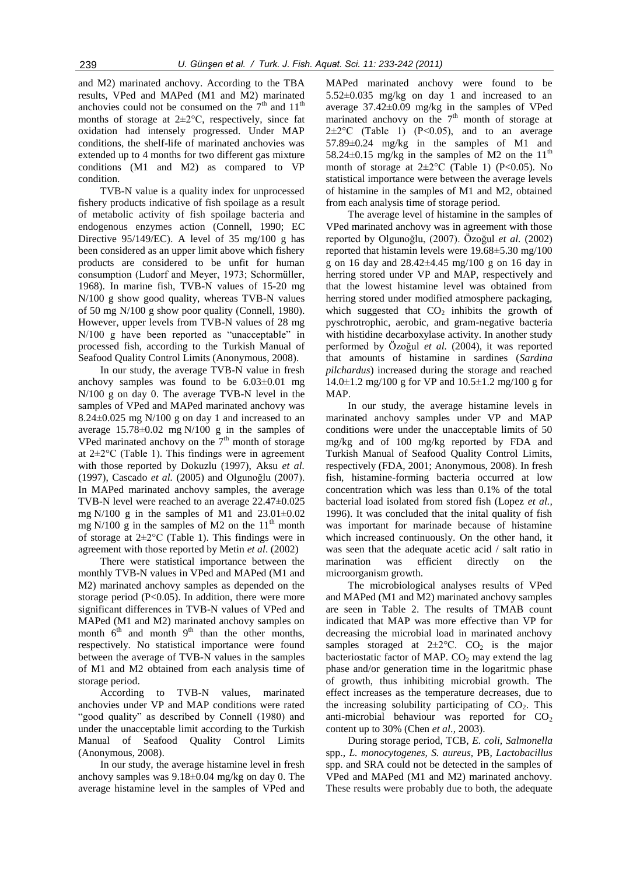and M2) marinated anchovy. According to the TBA results, VPed and MAPed (M1 and M2) marinated anchovies could not be consumed on the  $7<sup>th</sup>$  and  $11<sup>th</sup>$ months of storage at  $2\pm2\degree$ C, respectively, since fat oxidation had intensely progressed. Under MAP conditions, the shelf-life of marinated anchovies was extended up to 4 months for two different gas mixture conditions (M1 and M2) as compared to VP condition.

TVB-N value is a quality index for unprocessed fishery products indicative of fish spoilage as a result of metabolic activity of fish spoilage bacteria and endogenous enzymes action (Connell, 1990; EC Directive 95/149/EC). A level of 35 mg/100 g has been considered as an upper limit above which fishery products are considered to be unfit for human consumption (Ludorf and Meyer, 1973; Schormüller, 1968). In marine fish, TVB-N values of 15-20 mg N/100 g show good quality, whereas TVB-N values of 50 mg N/100 g show poor quality (Connell, 1980). However, upper levels from TVB-N values of 28 mg N/100 g have been reported as "unacceptable" in processed fish, according to the Turkish Manual of Seafood Quality Control Limits (Anonymous, 2008).

In our study, the average TVB-N value in fresh anchovy samples was found to be  $6.03\pm0.01$  mg N/100 g on day 0. The average TVB-N level in the samples of VPed and MAPed marinated anchovy was  $8.24\pm0.025$  mg N/100 g on day 1 and increased to an average  $15.78 \pm 0.02$  mg N/100 g in the samples of VPed marinated anchovy on the  $7<sup>th</sup>$  month of storage at  $2\pm2\degree$ C (Table 1). This findings were in agreement with those reported by Dokuzlu (1997), Aksu *et al.* (1997), Cascado *et al.* (2005) and Olgunoğlu (2007). In MAPed marinated anchovy samples, the average TVB-N level were reached to an average 22.47±0.025 mg N/100 g in the samples of M1 and  $23.01\pm0.02$ mg N/100 g in the samples of M2 on the  $11<sup>th</sup>$  month of storage at 2±2°C (Table 1). This findings were in agreement with those reported by Metin *et al*. (2002)

There were statistical importance between the monthly TVB-N values in VPed and MAPed (M1 and M2) marinated anchovy samples as depended on the storage period  $(P<0.05)$ . In addition, there were more significant differences in TVB-N values of VPed and MAPed (M1 and M2) marinated anchovy samples on month  $6<sup>th</sup>$  and month  $9<sup>th</sup>$  than the other months, respectively. No statistical importance were found between the average of TVB-N values in the samples of M1 and M2 obtained from each analysis time of storage period.

According to TVB-N values, marinated anchovies under VP and MAP conditions were rated "good quality" as described by Connell (1980) and under the unacceptable limit according to the Turkish Manual of Seafood Quality Control Limits (Anonymous, 2008).

In our study, the average histamine level in fresh anchovy samples was 9.18±0.04 mg/kg on day 0. The average histamine level in the samples of VPed and

MAPed marinated anchovy were found to be 5.52±0.035 mg/kg on day 1 and increased to an average 37.42±0.09 mg/kg in the samples of VPed marinated anchovy on the  $7<sup>th</sup>$  month of storage at  $2\pm2\degree$ C (Table 1) (P<0.05), and to an average 57.89±0.24 mg/kg in the samples of M1 and 58.24 $\pm$ 0.15 mg/kg in the samples of M2 on the 11<sup>th</sup> month of storage at  $2\pm2$ °C (Table 1) (P<0.05). No statistical importance were between the average levels of histamine in the samples of M1 and M2, obtained from each analysis time of storage period.

The average level of histamine in the samples of VPed marinated anchovy was in agreement with those reported by Olgunoğlu, (2007). Özoğul *et al.* (2002) reported that histamin levels were 19.68±5.30 mg/100 g on 16 day and 28.42±4.45 mg/100 g on 16 day in herring stored under VP and MAP, respectively and that the lowest histamine level was obtained from herring stored under modified atmosphere packaging, which suggested that  $CO<sub>2</sub>$  inhibits the growth of pyschrotrophic, aerobic, and gram-negative bacteria with histidine decarboxylase activity. In another study performed by Özoğul *et al.* (2004), it was reported that amounts of histamine in sardines (*Sardina pilchardus*) increased during the storage and reached  $14.0\pm1.2$  mg/100 g for VP and  $10.5\pm1.2$  mg/100 g for MAP.

In our study, the average histamine levels in marinated anchovy samples under VP and MAP conditions were under the unacceptable limits of 50 mg/kg and of 100 mg/kg reported by FDA and Turkish Manual of Seafood Quality Control Limits, respectively (FDA, 2001; Anonymous, 2008). In fresh fish, histamine-forming bacteria occurred at low concentration which was less than 0.1% of the total bacterial load isolated from stored fish (Lopez *et al.,* 1996). It was concluded that the inital quality of fish was important for marinade because of histamine which increased continuously. On the other hand, it was seen that the adequate acetic acid / salt ratio in marination was efficient directly on the microorganism growth.

The microbiological analyses results of VPed and MAPed (M1 and M2) marinated anchovy samples are seen in Table 2. The results of TMAB count indicated that MAP was more effective than VP for decreasing the microbial load in marinated anchovy samples storaged at  $2\pm2^{\circ}$ C. CO<sub>2</sub> is the major bacteriostatic factor of MAP.  $CO<sub>2</sub>$  may extend the lag phase and/or generation time in the logaritmic phase of growth, thus inhibiting microbial growth. The effect increases as the temperature decreases, due to the increasing solubility participating of  $CO<sub>2</sub>$ . This anti-microbial behaviour was reported for  $CO<sub>2</sub>$ content up to 30% (Chen *et al*., 2003).

During storage period, TCB, *E. coli, Salmonella* spp., *L. monocytogenes, S. aureus,* PB, *Lactobacillus*  spp. and SRA could not be detected in the samples of VPed and MAPed (M1 and M2) marinated anchovy. These results were probably due to both, the adequate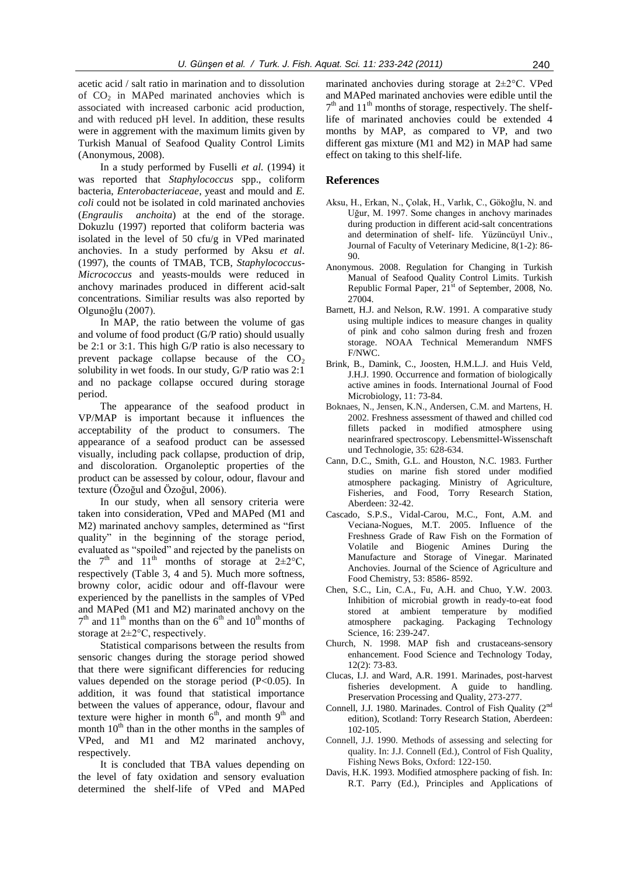acetic acid / salt ratio in marination and to dissolution of  $CO<sub>2</sub>$  in MAPed marinated anchovies which is associated with increased carbonic acid production, and with reduced pH level. In addition, these results were in aggrement with the maximum limits given by Turkish Manual of Seafood Quality Control Limits (Anonymous, 2008).

In a study performed by Fuselli *et al.* (1994) it was reported that *Staphylococcus* spp., coliform bacteria, *Enterobacteriaceae*, yeast and mould and *E. coli* could not be isolated in cold marinated anchovies (*Engraulis anchoita*) at the end of the storage. Dokuzlu (1997) reported that coliform bacteria was isolated in the level of 50 cfu/g in VPed marinated anchovies. In a study performed by Aksu *et al*. (1997), the counts of TMAB, TCB, *Staphylococcus-Micrococcus* and yeasts-moulds were reduced in anchovy marinades produced in different acid**-**salt concentrations. Similiar results was also reported by Olgunoğlu (2007).

In MAP, the ratio between the volume of gas and volume of food product (G/P ratio) should usually be 2:1 or 3:1. This high G/P ratio is also necessary to prevent package collapse because of the  $CO<sub>2</sub>$ solubility in wet foods. In our study, G/P ratio was 2:1 and no package collapse occured during storage period.

The appearance of the seafood product in VP/MAP is important because it influences the acceptability of the product to consumers. The appearance of a seafood product can be assessed visually, including pack collapse, production of drip, and discoloration. Organoleptic properties of the product can be assessed by colour, odour, flavour and texture (Özoğul and Özoğul, 2006).

In our study, when all sensory criteria were taken into consideration, VPed and MAPed (M1 and M2) marinated anchovy samples, determined as "first quality" in the beginning of the storage period, evaluated as "spoiled" and rejected by the panelists on the  $7<sup>th</sup>$  and  $11<sup>th</sup>$  months of storage at  $2\pm2^{\circ}C$ , respectively (Table 3, 4 and 5). Much more softness, browny color, acidic odour and off-flavour were experienced by the panellists in the samples of VPed and MAPed (M1 and M2) marinated anchovy on the  $7<sup>th</sup>$  and  $11<sup>th</sup>$  months than on the 6<sup>th</sup> and  $10<sup>th</sup>$  months of storage at 2±2°C, respectively.

Statistical comparisons between the results from sensoric changes during the storage period showed that there were significant differencies for reducing values depended on the storage period  $(P<0.05)$ . In addition, it was found that statistical importance between the values of apperance, odour, flavour and texture were higher in month  $6<sup>th</sup>$ , and month  $9<sup>th</sup>$  and month  $10<sup>th</sup>$  than in the other months in the samples of VPed, and M1 and M2 marinated anchovy, respectively.

It is concluded that TBA values depending on the level of faty oxidation and sensory evaluation determined the shelf-life of VPed and MAPed

marinated anchovies during storage at 2±2°C. VPed and MAPed marinated anchovies were edible until the  $7<sup>th</sup>$  and  $11<sup>th</sup>$  months of storage, respectively. The shelflife of marinated anchovies could be extended 4 months by MAP, as compared to VP, and two different gas mixture (M1 and M2) in MAP had same effect on taking to this shelf-life.

### **References**

- Aksu, H., Erkan, N., Çolak, H., Varlık, C., Gökoğlu, N. and Uğur, M. 1997. Some changes in anchovy marinades during production in different acid-salt concentrations and determination of shelf- life. Yüzüncüyıl Univ., Journal of Faculty of Veterinary Medicine, 8(1-2): 86- 90.
- Anonymous. 2008. Regulation for Changing in Turkish Manual of Seafood Quality Control Limits. Turkish Republic Formal Paper,  $21<sup>st</sup>$  of September, 2008, No. 27004.
- Barnett, H.J. and Nelson, R.W. 1991. A comparative study using multiple indices to measure changes in quality of pink and coho salmon during fresh and frozen storage. NOAA Technical Memerandum NMFS F/NWC.
- Brink, B., Damink, C., Joosten, H.M.L.J. and Huis Veld, J.H.J. 1990. Occurrence and formation of biologically active amines in foods. International Journal of Food Microbiology, 11: 73-84.
- Boknaes, N., Jensen, K.N., Andersen, C.M. and Martens, H. 2002. Freshness assessment of thawed and chilled cod fillets packed in modified atmosphere using nearinfrared spectroscopy. Lebensmittel-Wissenschaft und Technologie, 35: 628-634.
- Cann, D.C., Smith, G.L. and Houston, N.C. 1983. Further studies on marine fish stored under modified atmosphere packaging. Ministry of Agriculture, Fisheries, and Food, Torry Research Station, Aberdeen: 32-42.
- Cascado, S.P.S., Vidal-Carou, M.C., Font, A.M. and Veciana-Nogues, M.T. 2005. Influence of the Freshness Grade of Raw Fish on the Formation of Volatile and Biogenic Amines During the Manufacture and Storage of Vinegar. Marinated Anchovies. Journal of the Science of Agriculture and Food Chemistry, 53: 8586- 8592.
- Chen, S.C., Lin, C.A., Fu, A.H. and Chuo, Y.W. 2003. Inhibition of microbial growth in ready-to-eat food stored at ambient temperature by modified atmosphere packaging. Packaging Technology Science, 16: 239-247.
- Church, N. 1998. MAP fish and crustaceans-sensory enhancement. Food Science and Technology Today, 12(2): 73-83.
- Clucas, I.J. and Ward, A.R. 1991. Marinades, post-harvest fisheries development. A guide to handling. Preservation Processing and Quality, 273-277.
- Connell, J.J. 1980. Marinades. Control of Fish Quality (2nd edition), Scotland: Torry Research Station, Aberdeen: 102-105.
- Connell, J.J. 1990. Methods of assessing and selecting for quality. In: J.J. Connell (Ed.), Control of Fish Quality, Fishing News Boks, Oxford: 122-150.
- Davis, H.K. 1993. Modified atmosphere packing of fish. In: R.T. Parry (Ed.), Principles and Applications of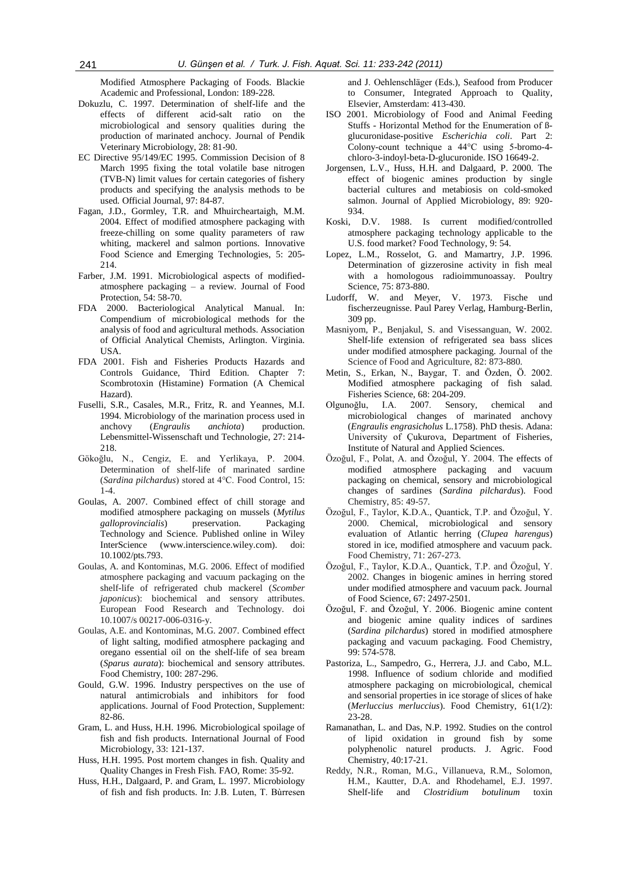Modified Atmosphere Packaging of Foods. Blackie Academic and Professional, London: 189-228.

- Dokuzlu, C. 1997. Determination of shelf-life and the effects of different acid-salt ratio on the microbiological and sensory qualities during the production of marinated anchocy. Journal of Pendik Veterinary Microbiology, 28: 81-90.
- EC Directive 95/149/EC 1995. Commission Decision of 8 March 1995 fixing the total volatile base nitrogen (TVB-N) limit values for certain categories of fishery products and specifying the analysis methods to be used*.* Official Journal, 97: 84-87.
- Fagan, J.D., Gormley, T.R. and Mhuircheartaigh, M.M. 2004. Effect of modified atmosphere packaging with freeze-chilling on some quality parameters of raw whiting, mackerel and salmon portions. Innovative Food Science and Emerging Technologies, 5: 205- 214.
- Farber, J.M. 1991. Microbiological aspects of modifiedatmosphere packaging – a review. Journal of Food Protection, 54: 58-70.
- FDA 2000. Bacteriological Analytical Manual. In: Compendium of microbiological methods for the analysis of food and agricultural methods. Association of Official Analytical Chemists, Arlington. Virginia. USA.
- FDA 2001. Fish and Fisheries Products Hazards and Controls Guidance, Third Edition*.* Chapter 7: Scombrotoxin (Histamine) Formation (A Chemical Hazard).
- Fuselli, S.R., Casales, M.R., Fritz, R. and Yeannes, M.I. 1994. Microbiology of the marination process used in anchovy (*Engraulis anchiota*) production. Lebensmittel-Wissenschaft und Technologie, 27: 214- 218.
- Gökoğlu, N., Cengiz, E. and Yerlikaya, P. 2004. Determination of shelf-life of marinated sardine (*Sardina pilchardus*) stored at 4°C. Food Control, 15: 1-4.
- Goulas, A. 2007. Combined effect of chill storage and modified atmosphere packaging on mussels (*Mytilus galloprovincialis*) preservation. Packaging Technology and Science. Published online in Wiley InterScience (www.interscience.wiley.com). doi: 10.1002/pts.793.
- Goulas, A. and Kontominas, M.G. 2006. Effect of modified atmosphere packaging and vacuum packaging on the shelf-life of refrigerated chub mackerel (*Scomber japonicus*): biochemical and sensory attributes. European Food Research and Technology*.* doi 10.1007/s 00217-006-0316-y.
- Goulas, A.E. and Kontominas, M.G. 2007. Combined effect of light salting, modified atmosphere packaging and oregano essential oil on the shelf-life of sea bream (*Sparus aurata*): biochemical and sensory attributes. Food Chemistry, 100: 287-296.
- Gould, G.W. 1996. Industry perspectives on the use of natural antimicrobials and inhibitors for food applications. Journal of Food Protection, Supplement: 82-86.
- Gram, L. and Huss, H.H. 1996. Microbiological spoilage of fish and fish products. International Journal of Food Microbiology*,* 33: 121-137.
- Huss, H.H. 1995. Post mortem changes in fish. Quality and Quality Changes in Fresh Fish. FAO, Rome: 35-92.
- Huss, H.H., Dalgaard, P. and Gram, L. 1997. Microbiology of fish and fish products. In: J.B. Luten, T. Bùrresen

and J. Oehlenschläger (Eds.), Seafood from Producer to Consumer, Integrated Approach to Quality, Elsevier, Amsterdam: 413-430.

- ISO 2001. Microbiology of Food and Animal Feeding Stuffs - Horizontal Method for the Enumeration of ßglucuronidase-positive *Escherichia coli*. Part 2: Colony-count technique a 44°C using 5-bromo-4 chloro-3-indoyl-beta-D-glucuronide. ISO 16649-2.
- Jorgensen, L.V., Huss, H.H. and Dalgaard, P. 2000. The effect of biogenic amines production by single bacterial cultures and metabiosis on cold-smoked salmon. Journal of Applied Microbiology, 89: 920- 934.
- Koski, D.V. 1988. Is current modified/controlled atmosphere packaging technology applicable to the U.S. food market? Food Technology, 9: 54.
- Lopez, L.M., Rosselot, G. and Mamartry, J.P. 1996. Determination of gizzerosine activity in fish meal with a homologous radioimmunoassay. Poultry Science, 75: 873-880.
- Ludorff, W. and Meyer, V. 1973. Fische und fischerzeugnisse. Paul Parey Verlag, Hamburg-Berlin, 309 pp.
- Masniyom, P., Benjakul, S. and Visessanguan, W. 2002. Shelf-life extension of refrigerated sea bass slices under modified atmosphere packaging*.* Journal of the Science of Food and Agriculture, 82: 873-880.
- Metin, S., Erkan, N., Baygar, T. and Özden, Ö. 2002. Modified atmosphere packaging of fish salad. Fisheries Science, 68: 204-209.
- Olgunoğlu, I.A. 2007. Sensory, chemical and microbiological changes of marinated anchovy (*Engraulis engrasicholus* L.1758). PhD thesis. Adana: University of Çukurova, Department of Fisheries, Institute of Natural and Applied Sciences.
- Özoğul, F., Polat, A. and Özoğul, Y. 2004. The effects of modified atmosphere packaging and vacuum packaging on chemical, sensory and microbiological changes of sardines (*Sardina pilchardus*). Food Chemistry, 85: 49-57.
- Özoğul, F., Taylor, K.D.A., Quantick, T.P. and Özoğul, Y. 2000. Chemical, microbiological and sensory evaluation of Atlantic herring (*Clupea harengus*) stored in ice, modified atmosphere and vacuum pack. Food Chemistry, 71: 267-273.
- Özoğul, F., Taylor, K.D.A., Quantick, T.P. and Özoğul, Y. 2002. Changes in biogenic amines in herring stored under modified atmosphere and vacuum pack. Journal of Food Science, 67: 2497-2501.
- Özoğul, F. and Özoğul, Y. 2006. Biogenic amine content and biogenic amine quality indices of sardines (*Sardina pilchardus*) stored in modified atmosphere packaging and vacuum packaging. Food Chemistry, 99: 574-578.
- Pastoriza, L., Sampedro, G., Herrera, J.J. and Cabo, M.L. 1998. Influence of sodium chloride and modified atmosphere packaging on microbiological, chemical and sensorial properties in ice storage of slices of hake (*Merluccius merluccius*). Food Chemistry, 61(1/2): 23-28.
- Ramanathan, L. and Das, N.P. 1992. Studies on the control of lipid oxidation in ground fish by some polyphenolic naturel products. J. Agric. Food Chemistry, 40:17-21.
- Reddy, N.R., Roman, M.G., Villanueva, R.M., Solomon, H.M., Kautter, D.A. and Rhodehamel, E.J. 1997. Shelf-life and *Clostridium botulinum* toxin